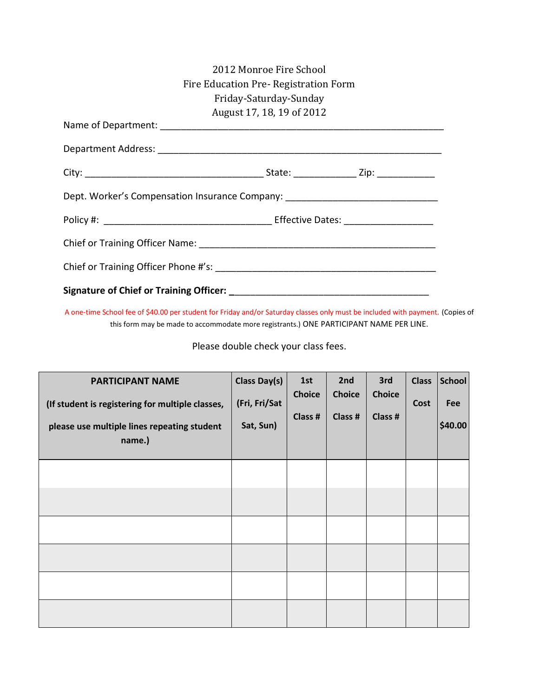|                                                                                  | 2012 Monroe Fire School              |  |
|----------------------------------------------------------------------------------|--------------------------------------|--|
|                                                                                  | Fire Education Pre-Registration Form |  |
|                                                                                  | Friday-Saturday-Sunday               |  |
|                                                                                  | August 17, 18, 19 of 2012            |  |
|                                                                                  |                                      |  |
|                                                                                  |                                      |  |
|                                                                                  |                                      |  |
| Dept. Worker's Compensation Insurance Company: _________________________________ |                                      |  |
|                                                                                  |                                      |  |
|                                                                                  |                                      |  |
|                                                                                  |                                      |  |
|                                                                                  |                                      |  |

A one-time School fee of \$40.00 per student for Friday and/or Saturday classes only must be included with payment. (Copies of this form may be made to accommodate more registrants.) ONE PARTICIPANT NAME PER LINE.

Please double check your class fees.

| <b>PARTICIPANT NAME</b><br>(If student is registering for multiple classes,<br>please use multiple lines repeating student<br>name.) | Class Day(s)<br>(Fri, Fri/Sat<br>Sat, Sun) | 1st<br><b>Choice</b><br>Class # | 2nd<br><b>Choice</b><br>Class # | 3rd<br><b>Choice</b><br>Class # | <b>Class</b><br>Cost | <b>School</b><br>Fee<br>\$40.00 |
|--------------------------------------------------------------------------------------------------------------------------------------|--------------------------------------------|---------------------------------|---------------------------------|---------------------------------|----------------------|---------------------------------|
|                                                                                                                                      |                                            |                                 |                                 |                                 |                      |                                 |
|                                                                                                                                      |                                            |                                 |                                 |                                 |                      |                                 |
|                                                                                                                                      |                                            |                                 |                                 |                                 |                      |                                 |
|                                                                                                                                      |                                            |                                 |                                 |                                 |                      |                                 |
|                                                                                                                                      |                                            |                                 |                                 |                                 |                      |                                 |
|                                                                                                                                      |                                            |                                 |                                 |                                 |                      |                                 |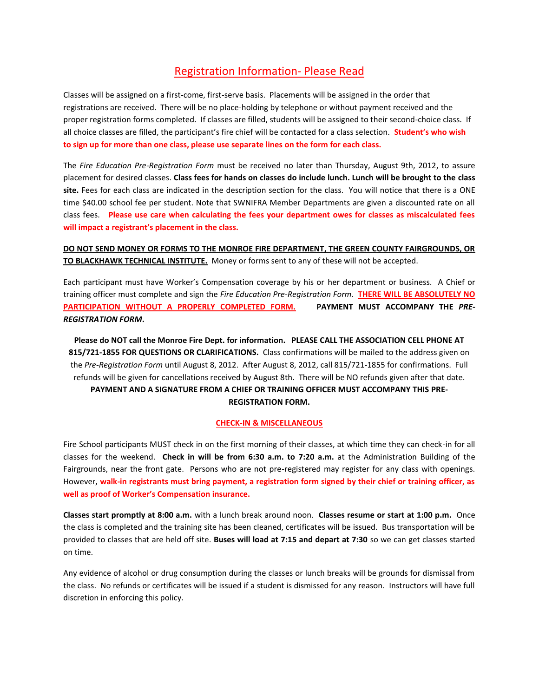## Registration Information- Please Read

Classes will be assigned on a first-come, first-serve basis. Placements will be assigned in the order that registrations are received. There will be no place-holding by telephone or without payment received and the proper registration forms completed. If classes are filled, students will be assigned to their second-choice class. If all choice classes are filled, the participant's fire chief will be contacted for a class selection. **Student's who wish to sign up for more than one class, please use separate lines on the form for each class.**

The *Fire Education Pre-Registration Form* must be received no later than Thursday, August 9th, 2012, to assure placement for desired classes. **Class fees for hands on classes do include lunch. Lunch will be brought to the class site.** Fees for each class are indicated in the description section for the class. You will notice that there is a ONE time \$40.00 school fee per student. Note that SWNIFRA Member Departments are given a discounted rate on all class fees. **Please use care when calculating the fees your department owes for classes as miscalculated fees will impact a registrant's placement in the class.** 

**DO NOT SEND MONEY OR FORMS TO THE MONROE FIRE DEPARTMENT, THE GREEN COUNTY FAIRGROUNDS, OR TO BLACKHAWK TECHNICAL INSTITUTE.** Money or forms sent to any of these will not be accepted.

Each participant must have Worker's Compensation coverage by his or her department or business. A Chief or training officer must complete and sign the *Fire Education Pre-Registration Form.* **THERE WILL BE ABSOLUTELY NO**  PARTICIPATION WITHOUT A PROPERLY COMPLETED FORM. PAYMENT MUST ACCOMPANY THE PRE-*REGISTRATION FORM***.** 

**Please do NOT call the Monroe Fire Dept. for information. PLEASE CALL THE ASSOCIATION CELL PHONE AT 815/721-1855 FOR QUESTIONS OR CLARIFICATIONS.** Class confirmations will be mailed to the address given on the *Pre-Registration Form* until August 8, 2012. After August 8, 2012, call 815/721-1855 for confirmations. Full refunds will be given for cancellations received by August 8th. There will be NO refunds given after that date. **PAYMENT AND A SIGNATURE FROM A CHIEF OR TRAINING OFFICER MUST ACCOMPANY THIS PRE-REGISTRATION FORM.** 

## **CHECK-IN & MISCELLANEOUS**

Fire School participants MUST check in on the first morning of their classes, at which time they can check-in for all classes for the weekend. **Check in will be from 6:30 a.m. to 7:20 a.m.** at the Administration Building of the Fairgrounds, near the front gate. Persons who are not pre-registered may register for any class with openings. However, **walk-in registrants must bring payment, a registration form signed by their chief or training officer, as well as proof of Worker's Compensation insurance.** 

**Classes start promptly at 8:00 a.m.** with a lunch break around noon. **Classes resume or start at 1:00 p.m.** Once the class is completed and the training site has been cleaned, certificates will be issued. Bus transportation will be provided to classes that are held off site. **Buses will load at 7:15 and depart at 7:30** so we can get classes started on time.

Any evidence of alcohol or drug consumption during the classes or lunch breaks will be grounds for dismissal from the class. No refunds or certificates will be issued if a student is dismissed for any reason. Instructors will have full discretion in enforcing this policy.